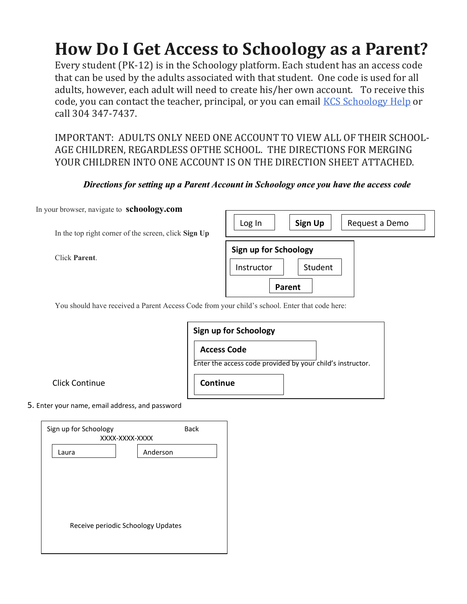## **How Do I Get Access to Schoology as a Parent?**

Every student (PK-12) is in the Schoology platform. Each student has an access code that can be used by the adults associated with that student. One code is used for all adults, however, each adult will need to create his/her own account. To receive this code, you can contact the teacher, principal, or you can email [KCS Schoology Help](http://mail.kana.k12.wv.us/) or call 304 347-7437.

IMPORTANT: ADULTS ONLY NEED ONE ACCOUNT TO VIEW ALL OF THEIR SCHOOL-AGE CHILDREN, REGARDLESS OFTHE SCHOOL. THE DIRECTIONS FOR MERGING YOUR CHILDREN INTO ONE ACCOUNT IS ON THE DIRECTION SHEET ATTACHED.

## *Directions for setting up a Parent Account in Schoology once you have the access code*

In your browser, navigate to **schoology.com** 

In the top right corner of the screen, click **Sign Up**

Click **Parent**.

| Log In                | Sign Up | Request a Demo |  |  |  |
|-----------------------|---------|----------------|--|--|--|
| Sign up for Schoology |         |                |  |  |  |
| Instructor            | Student |                |  |  |  |
|                       | Parent  |                |  |  |  |

You should have received a Parent Access Code from your child's school. Enter that code here:

| <b>Access Code</b> |                                                            |
|--------------------|------------------------------------------------------------|
|                    | Enter the access code provided by your child's instructor. |

Click Continue

5. Enter your name, email address, and password

| Sign up for Schoology<br>XXXX-XXXX-XXXX | <b>Back</b> |  |  |  |  |
|-----------------------------------------|-------------|--|--|--|--|
| Laura                                   | Anderson    |  |  |  |  |
|                                         |             |  |  |  |  |
|                                         |             |  |  |  |  |
|                                         |             |  |  |  |  |
|                                         |             |  |  |  |  |
| Receive periodic Schoology Updates      |             |  |  |  |  |
|                                         |             |  |  |  |  |